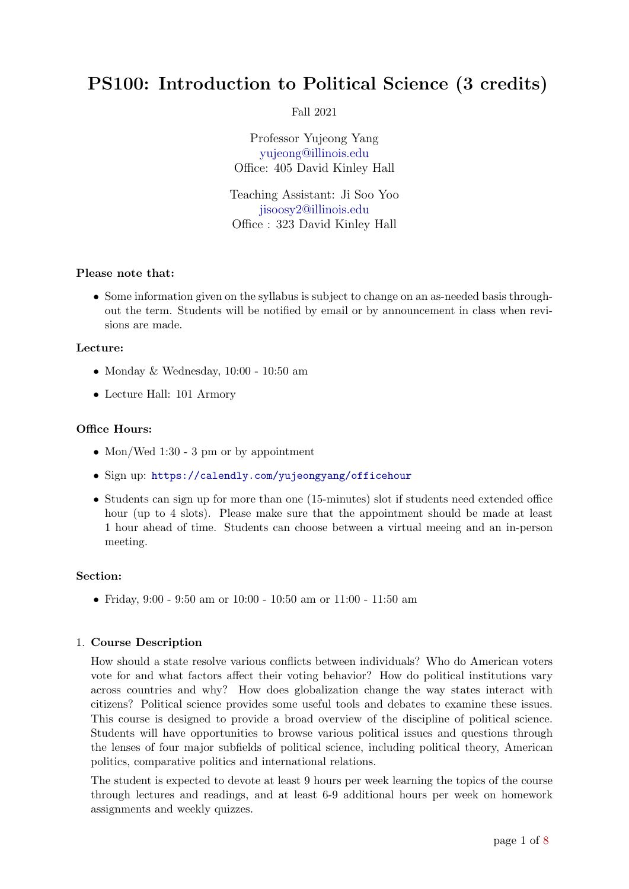# PS100: Introduction to Political Science (3 credits)

Fall 2021

Professor Yujeong Yang [yujeong@illinois.edu](mailto:yujeong@illinois.edu) Office: 405 David Kinley Hall

Teaching Assistant: Ji Soo Yoo [jisoosy2@illinois.edu](mailto:jisoosy2@illinois.edu) Office : 323 David Kinley Hall

### Please note that:

• Some information given on the syllabus is subject to change on an as-needed basis throughout the term. Students will be notified by email or by announcement in class when revisions are made.

#### Lecture:

- Monday & Wednesday, 10:00 10:50 am
- Lecture Hall: 101 Armory

### Office Hours:

- Mon/Wed 1:30 3 pm or by appointment
- Sign up: <https://calendly.com/yujeongyang/officehour>
- Students can sign up for more than one (15-minutes) slot if students need extended office hour (up to 4 slots). Please make sure that the appointment should be made at least 1 hour ahead of time. Students can choose between a virtual meeing and an in-person meeting.

#### Section:

• Friday, 9:00 - 9:50 am or 10:00 - 10:50 am or 11:00 - 11:50 am

### 1. Course Description

How should a state resolve various conflicts between individuals? Who do American voters vote for and what factors affect their voting behavior? How do political institutions vary across countries and why? How does globalization change the way states interact with citizens? Political science provides some useful tools and debates to examine these issues. This course is designed to provide a broad overview of the discipline of political science. Students will have opportunities to browse various political issues and questions through the lenses of four major subfields of political science, including political theory, American politics, comparative politics and international relations.

The student is expected to devote at least 9 hours per week learning the topics of the course through lectures and readings, and at least 6-9 additional hours per week on homework assignments and weekly quizzes.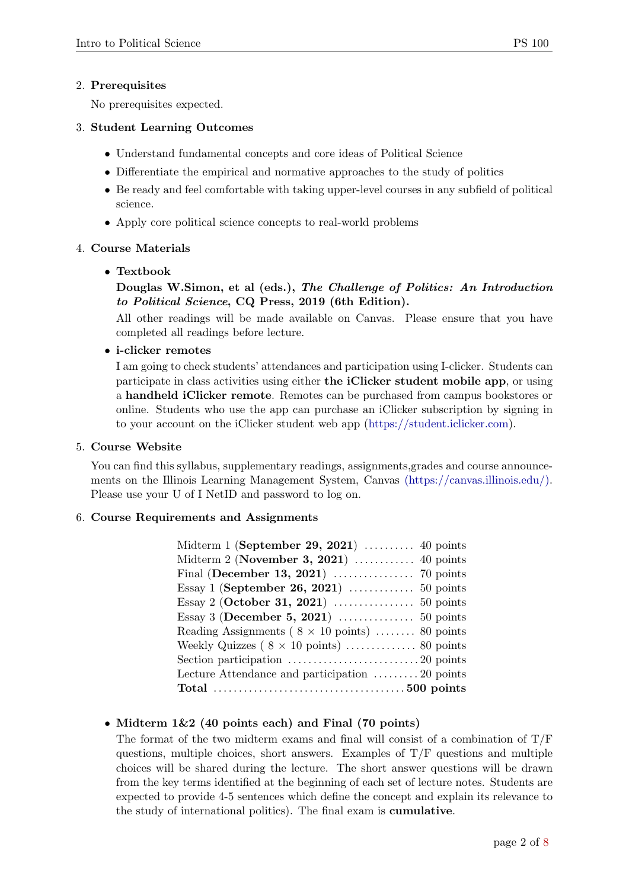### 2. Prerequisites

No prerequisites expected.

### 3. Student Learning Outcomes

- Understand fundamental concepts and core ideas of Political Science
- Differentiate the empirical and normative approaches to the study of politics
- Be ready and feel comfortable with taking upper-level courses in any subfield of political science.
- Apply core political science concepts to real-world problems

### 4. Course Materials

### • Textbook

# Douglas W.Simon, et al (eds.), The Challenge of Politics: An Introduction to Political Science, CQ Press, 2019 (6th Edition).

All other readings will be made available on Canvas. Please ensure that you have completed all readings before lecture.

### • i-clicker remotes

I am going to check students' attendances and participation using I-clicker. Students can participate in class activities using either the iClicker student mobile app, or using a handheld iClicker remote. Remotes can be purchased from campus bookstores or online. Students who use the app can purchase an iClicker subscription by signing in to your account on the iClicker student web app [\(https://student.iclicker.com\)](https://student.iclicker.com).

### 5. Course Website

You can find this syllabus, supplementary readings, assignments,grades and course announcements on the Illinois Learning Management System, Canvas [\(https://canvas.illinois.edu/\).](https://canvas.illinois.edu/) Please use your U of I NetID and password to log on.

### 6. Course Requirements and Assignments

| Midterm 1 (September 29, 2021) $\ldots$ 40 points      |
|--------------------------------------------------------|
| Midterm 2 (November 3, 2021) $\ldots$ 40 points        |
| Final (December 13, 2021) $\ldots$ 70 points           |
| Essay 1 (September 26, 2021) $\ldots$ 50 points        |
|                                                        |
| Essay 3 (December 5, 2021) $\ldots$ 50 points          |
| Reading Assignments ( $8 \times 10$ points)  80 points |
|                                                        |
|                                                        |
| Lecture Attendance and participation 20 points         |
|                                                        |

# • Midterm  $1\&2$  (40 points each) and Final (70 points)

The format of the two midterm exams and final will consist of a combination of  $T/F$ questions, multiple choices, short answers. Examples of  $T/F$  questions and multiple choices will be shared during the lecture. The short answer questions will be drawn from the key terms identified at the beginning of each set of lecture notes. Students are expected to provide 4-5 sentences which define the concept and explain its relevance to the study of international politics). The final exam is cumulative.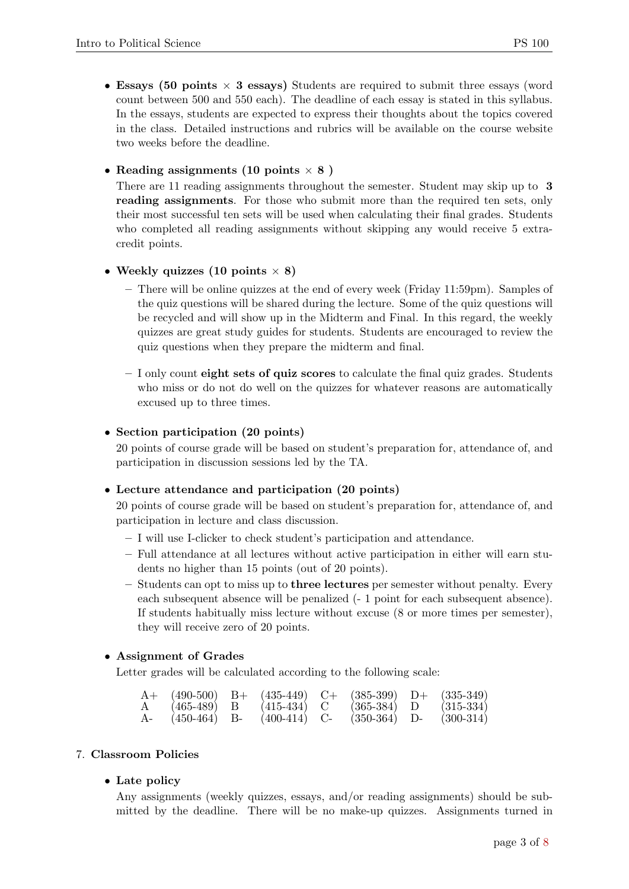• Essays (50 points  $\times$  3 essays) Students are required to submit three essays (word count between 500 and 550 each). The deadline of each essay is stated in this syllabus. In the essays, students are expected to express their thoughts about the topics covered in the class. Detailed instructions and rubrics will be available on the course website two weeks before the deadline.

### • Reading assignments (10 points  $\times$  8)

There are 11 reading assignments throughout the semester. Student may skip up to 3 reading assignments. For those who submit more than the required ten sets, only their most successful ten sets will be used when calculating their final grades. Students who completed all reading assignments without skipping any would receive 5 extracredit points.

#### • Weekly quizzes (10 points  $\times$  8)

- There will be online quizzes at the end of every week (Friday 11:59pm). Samples of the quiz questions will be shared during the lecture. Some of the quiz questions will be recycled and will show up in the Midterm and Final. In this regard, the weekly quizzes are great study guides for students. Students are encouraged to review the quiz questions when they prepare the midterm and final.
- I only count eight sets of quiz scores to calculate the final quiz grades. Students who miss or do not do well on the quizzes for whatever reasons are automatically excused up to three times.

#### • Section participation (20 points)

20 points of course grade will be based on student's preparation for, attendance of, and participation in discussion sessions led by the TA.

#### • Lecture attendance and participation (20 points)

20 points of course grade will be based on student's preparation for, attendance of, and participation in lecture and class discussion.

- I will use I-clicker to check student's participation and attendance.
- Full attendance at all lectures without active participation in either will earn students no higher than 15 points (out of 20 points).
- $-$  Students can opt to miss up to **three lectures** per semester without penalty. Every each subsequent absence will be penalized (- 1 point for each subsequent absence). If students habitually miss lecture without excuse (8 or more times per semester), they will receive zero of 20 points.

#### • Assignment of Grades

Letter grades will be calculated according to the following scale:

|              | $(490-500)$   | $B+$ | $(435-449)$   | $( )+$ | $(385-399)$ | $+(-$ | $(335-349)$ |
|--------------|---------------|------|---------------|--------|-------------|-------|-------------|
| $\mathbf{A}$ | $(465 - 489)$ |      | $(415 - 434)$ |        | $(365-384)$ |       | $(315-334)$ |
| $A-$         | (450-464)     | В-   | $(400-414)$   |        | $(350-364)$ |       | $(300-314)$ |

#### 7. Classroom Policies

#### • Late policy

Any assignments (weekly quizzes, essays, and/or reading assignments) should be submitted by the deadline. There will be no make-up quizzes. Assignments turned in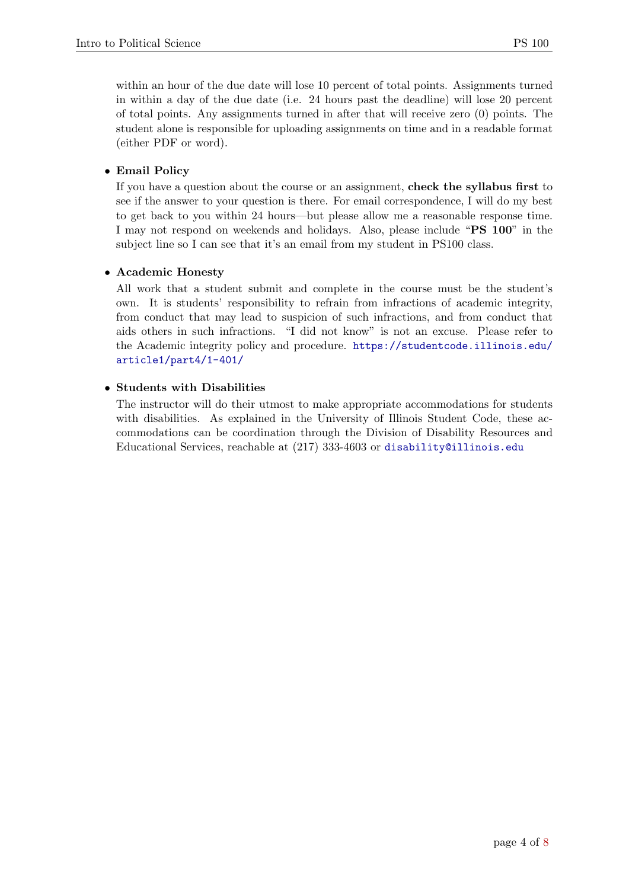within an hour of the due date will lose 10 percent of total points. Assignments turned in within a day of the due date (i.e. 24 hours past the deadline) will lose 20 percent of total points. Any assignments turned in after that will receive zero (0) points. The student alone is responsible for uploading assignments on time and in a readable format (either PDF or word).

# • Email Policy

If you have a question about the course or an assignment, check the syllabus first to see if the answer to your question is there. For email correspondence, I will do my best to get back to you within 24 hours—but please allow me a reasonable response time. I may not respond on weekends and holidays. Also, please include "PS 100" in the subject line so I can see that it's an email from my student in PS100 class.

# • Academic Honesty

All work that a student submit and complete in the course must be the student's own. It is students' responsibility to refrain from infractions of academic integrity, from conduct that may lead to suspicion of such infractions, and from conduct that aids others in such infractions. "I did not know" is not an excuse. Please refer to the Academic integrity policy and procedure. [https://studentcode.illinois.edu/](https://studentcode.illinois.edu/article1/part4/1-401/) [article1/part4/1-401/](https://studentcode.illinois.edu/article1/part4/1-401/)

# • Students with Disabilities

The instructor will do their utmost to make appropriate accommodations for students with disabilities. As explained in the University of Illinois Student Code, these accommodations can be coordination through the Division of Disability Resources and Educational Services, reachable at (217) 333-4603 or <disability@illinois.edu>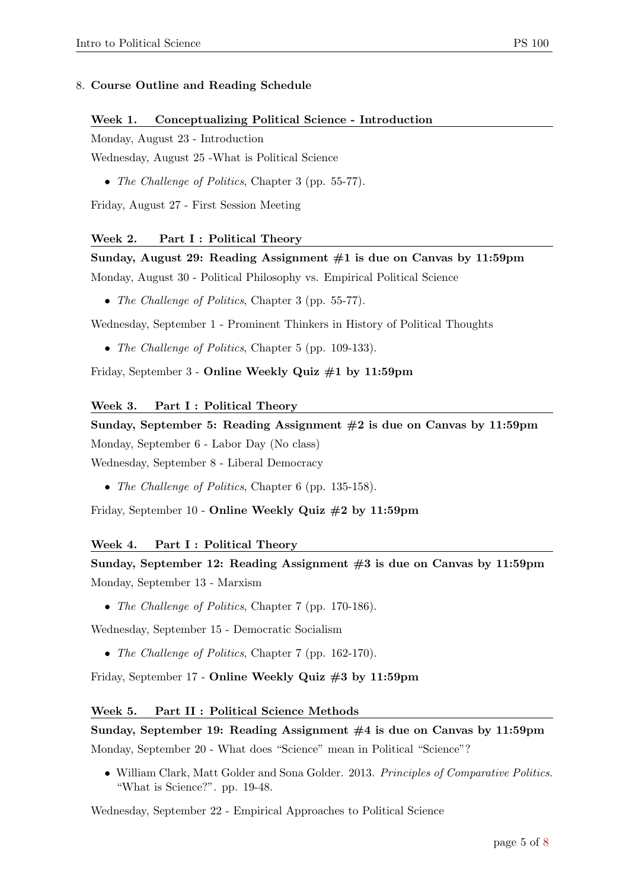# Week 1. Conceptualizing Political Science - Introduction

Monday, August 23 - Introduction

Wednesday, August 25 -What is Political Science

• The Challenge of Politics, Chapter 3 (pp. 55-77).

Friday, August 27 - First Session Meeting

# Week 2. Part I: Political Theory

Sunday, August 29: Reading Assignment #1 is due on Canvas by 11:59pm

Monday, August 30 - Political Philosophy vs. Empirical Political Science

• The Challenge of Politics, Chapter 3 (pp. 55-77).

Wednesday, September 1 - Prominent Thinkers in History of Political Thoughts

• The Challenge of Politics, Chapter 5 (pp. 109-133).

Friday, September 3 - Online Weekly Quiz #1 by 11:59pm

# Week 3. Part I : Political Theory

Sunday, September 5: Reading Assignment  $#2$  is due on Canvas by 11:59pm Monday, September 6 - Labor Day (No class) Wednesday, September 8 - Liberal Democracy

• The Challenge of Politics, Chapter 6 (pp. 135-158).

Friday, September 10 - Online Weekly Quiz #2 by 11:59pm

# Week 4. Part I: Political Theory

Sunday, September 12: Reading Assignment #3 is due on Canvas by 11:59pm Monday, September 13 - Marxism

• The Challenge of Politics, Chapter 7 (pp. 170-186).

Wednesday, September 15 - Democratic Socialism

• The Challenge of Politics, Chapter 7 (pp. 162-170).

Friday, September 17 - Online Weekly Quiz #3 by 11:59pm

# Week 5. Part II : Political Science Methods

# Sunday, September 19: Reading Assignment #4 is due on Canvas by 11:59pm Monday, September 20 - What does "Science" mean in Political "Science"?

• William Clark, Matt Golder and Sona Golder. 2013. Principles of Comparative Politics. "What is Science?". pp. 19-48.

Wednesday, September 22 - Empirical Approaches to Political Science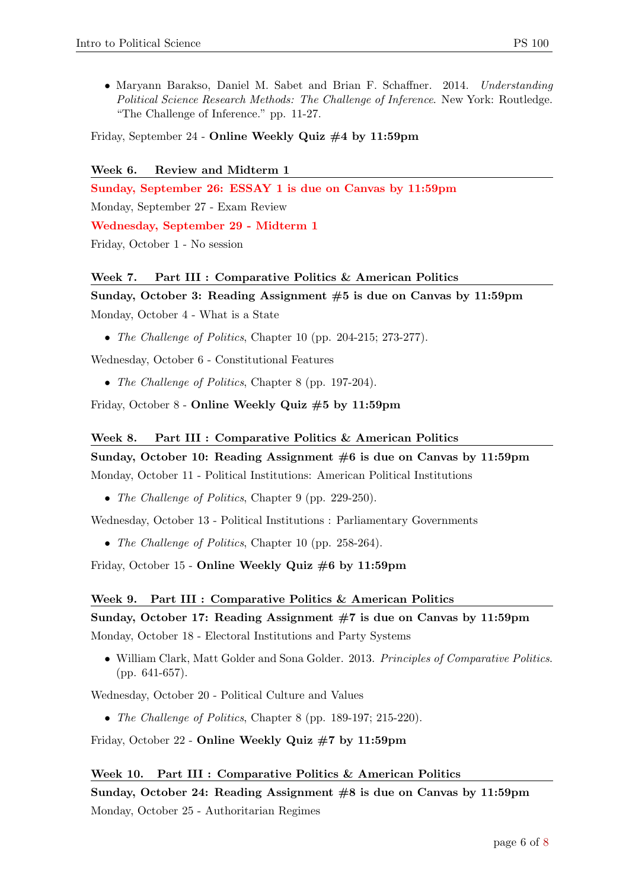• Maryann Barakso, Daniel M. Sabet and Brian F. Schaffner. 2014. Understanding Political Science Research Methods: The Challenge of Inference. New York: Routledge. "The Challenge of Inference." pp. 11-27.

Friday, September 24 - Online Weekly Quiz #4 by 11:59pm

Week 6. Review and Midterm 1 Sunday, September 26: ESSAY 1 is due on Canvas by 11:59pm Monday, September 27 - Exam Review Wednesday, September 29 - Midterm 1 Friday, October 1 - No session

#### Week 7. Part III : Comparative Politics & American Politics

# Sunday, October 3: Reading Assignment #5 is due on Canvas by 11:59pm Monday, October 4 - What is a State

• The Challenge of Politics, Chapter 10 (pp. 204-215; 273-277).

Wednesday, October 6 - Constitutional Features

• The Challenge of Politics, Chapter 8 (pp. 197-204).

Friday, October 8 - Online Weekly Quiz #5 by 11:59pm

# Week 8. Part III : Comparative Politics & American Politics Sunday, October 10: Reading Assignment  $\#6$  is due on Canvas by 11:59pm

Monday, October 11 - Political Institutions: American Political Institutions

• The Challenge of Politics, Chapter 9 (pp. 229-250).

Wednesday, October 13 - Political Institutions : Parliamentary Governments

• The Challenge of Politics, Chapter 10 (pp. 258-264).

Friday, October 15 - Online Weekly Quiz #6 by 11:59pm

#### Week 9. Part III : Comparative Politics & American Politics

# Sunday, October 17: Reading Assignment  $\#7$  is due on Canvas by 11:59pm Monday, October 18 - Electoral Institutions and Party Systems

• William Clark, Matt Golder and Sona Golder. 2013. Principles of Comparative Politics. (pp. 641-657).

Wednesday, October 20 - Political Culture and Values

• The Challenge of Politics, Chapter 8 (pp. 189-197; 215-220).

Friday, October 22 - Online Weekly Quiz #7 by 11:59pm

### Week 10. Part III : Comparative Politics & American Politics

Sunday, October 24: Reading Assignment  $\#8$  is due on Canvas by 11:59pm Monday, October 25 - Authoritarian Regimes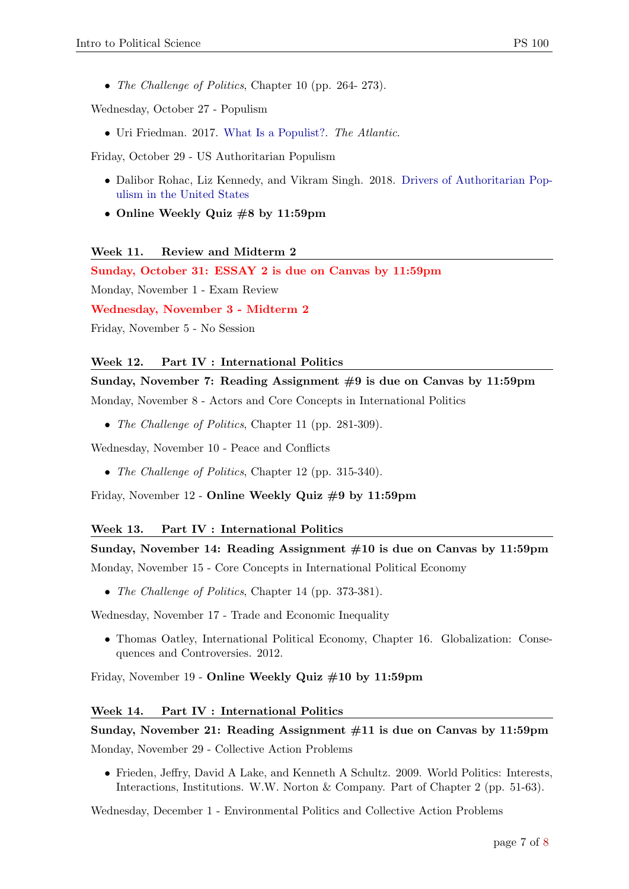• The Challenge of Politics, Chapter 10 (pp. 264- 273).

Wednesday, October 27 - Populism

• Uri Friedman. 2017. [What Is a Populist?.](https://www.theatlantic.com/international/archive/2017/02/what-is-populist-trump/516525/) The Atlantic.

Friday, October 29 - US Authoritarian Populism

- Dalibor Rohac, Liz Kennedy, and Vikram Singh. 2018. [Drivers of Authoritarian Pop](https://www.americanprogress.org/issues/democracy/reports/2018/05/10/450552/drivers-authoritarian-populism-united-states/)[ulism in the United States](https://www.americanprogress.org/issues/democracy/reports/2018/05/10/450552/drivers-authoritarian-populism-united-states/)
- Online Weekly Quiz #8 by 11:59pm

Week 11. Review and Midterm 2

Sunday, October 31: ESSAY 2 is due on Canvas by 11:59pm

Monday, November 1 - Exam Review

Wednesday, November 3 - Midterm 2

Friday, November 5 - No Session

#### Week 12. Part IV : International Politics

Sunday, November 7: Reading Assignment  $#9$  is due on Canvas by 11:59pm

Monday, November 8 - Actors and Core Concepts in International Politics

• The Challenge of Politics, Chapter 11 (pp. 281-309).

Wednesday, November 10 - Peace and Conflicts

• The Challenge of Politics, Chapter 12 (pp. 315-340).

Friday, November 12 - Online Weekly Quiz #9 by 11:59pm

#### Week 13. Part IV : International Politics

# Sunday, November 14: Reading Assignment #10 is due on Canvas by 11:59pm Monday, November 15 - Core Concepts in International Political Economy

• The Challenge of Politics, Chapter 14 (pp. 373-381).

Wednesday, November 17 - Trade and Economic Inequality

• Thomas Oatley, International Political Economy, Chapter 16. Globalization: Consequences and Controversies. 2012.

Friday, November 19 - Online Weekly Quiz #10 by 11:59pm

#### Week 14. Part IV : International Politics

# Sunday, November 21: Reading Assignment #11 is due on Canvas by 11:59pm Monday, November 29 - Collective Action Problems

• Frieden, Jeffry, David A Lake, and Kenneth A Schultz. 2009. World Politics: Interests, Interactions, Institutions. W.W. Norton & Company. Part of Chapter 2 (pp. 51-63).

Wednesday, December 1 - Environmental Politics and Collective Action Problems